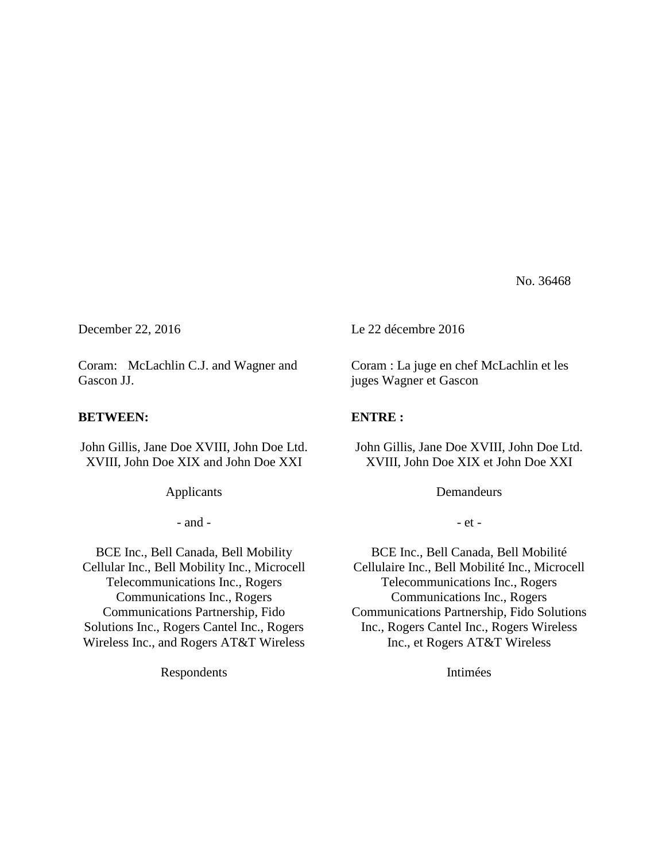No. 36468

Coram: McLachlin C.J. and Wagner and Gascon JJ.

## **BETWEEN:**

John Gillis, Jane Doe XVIII, John Doe Ltd. XVIII, John Doe XIX and John Doe XXI

Applicants

- and -

BCE Inc., Bell Canada, Bell Mobility Cellular Inc., Bell Mobility Inc., Microcell Telecommunications Inc., Rogers Communications Inc., Rogers Communications Partnership, Fido Solutions Inc., Rogers Cantel Inc., Rogers Wireless Inc., and Rogers AT&T Wireless

Respondents

December 22, 2016 Le 22 décembre 2016

Coram : La juge en chef McLachlin et les juges Wagner et Gascon

## **ENTRE :**

John Gillis, Jane Doe XVIII, John Doe Ltd. XVIII, John Doe XIX et John Doe XXI

**Demandeurs** 

- et -

BCE Inc., Bell Canada, Bell Mobilité Cellulaire Inc., Bell Mobilité Inc., Microcell Telecommunications Inc., Rogers Communications Inc., Rogers Communications Partnership, Fido Solutions Inc., Rogers Cantel Inc., Rogers Wireless Inc., et Rogers AT&T Wireless

Intimées